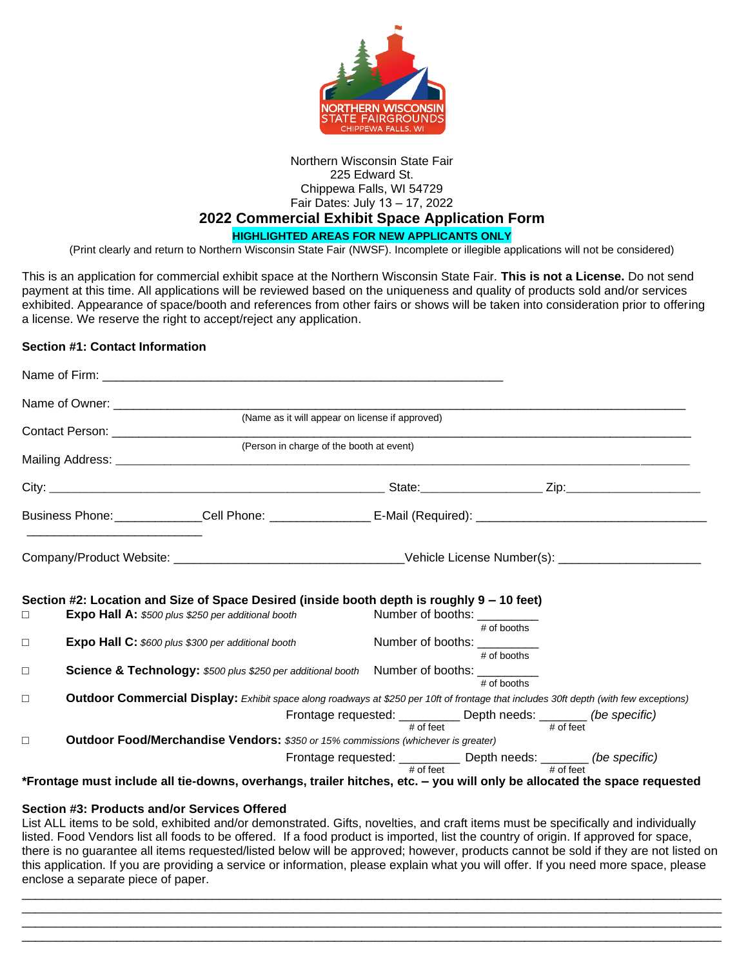

# Northern Wisconsin State Fair 225 Edward St. Chippewa Falls, WI 54729 Fair Dates: July 13 – 17, 2022 **2022 Commercial Exhibit Space Application Form**

**HIGHLIGHTED AREAS FOR NEW APPLICANTS ONLY**

(Print clearly and return to Northern Wisconsin State Fair (NWSF). Incomplete or illegible applications will not be considered)

This is an application for commercial exhibit space at the Northern Wisconsin State Fair. **This is not a License.** Do not send payment at this time. All applications will be reviewed based on the uniqueness and quality of products sold and/or services exhibited. Appearance of space/booth and references from other fairs or shows will be taken into consideration prior to offering a license. We reserve the right to accept/reject any application.

#### **Section #1: Contact Information**

|                                                                                                                      |                                                                                                  | (Name as it will appear on license if approved)<br><b>Contact Person: Contact Person: Contact Person:</b>                             |                                             |                                |                                                                                  |
|----------------------------------------------------------------------------------------------------------------------|--------------------------------------------------------------------------------------------------|---------------------------------------------------------------------------------------------------------------------------------------|---------------------------------------------|--------------------------------|----------------------------------------------------------------------------------|
|                                                                                                                      |                                                                                                  | (Person in charge of the booth at event)                                                                                              |                                             |                                |                                                                                  |
|                                                                                                                      |                                                                                                  |                                                                                                                                       |                                             |                                |                                                                                  |
|                                                                                                                      |                                                                                                  |                                                                                                                                       |                                             |                                |                                                                                  |
| Business Phone: ______________Cell Phone: ____________________E-Mail (Required): ___________________________________ |                                                                                                  |                                                                                                                                       |                                             |                                |                                                                                  |
|                                                                                                                      |                                                                                                  |                                                                                                                                       |                                             |                                |                                                                                  |
| $\Box$                                                                                                               | <b>Expo Hall A:</b> \$500 plus \$250 per additional booth                                        | Section #2: Location and Size of Space Desired (inside booth depth is roughly 9 – 10 feet)                                            |                                             | Number of booths: _________    |                                                                                  |
| $\Box$                                                                                                               | <b>Expo Hall C:</b> \$600 plus \$300 per additional booth                                        |                                                                                                                                       | # of booths<br>Number of booths: __________ |                                |                                                                                  |
| $\Box$                                                                                                               | <b>Science &amp; Technology:</b> \$500 plus \$250 per additional booth Number of booths: _______ |                                                                                                                                       |                                             | $#$ of booths<br>$#$ of booths |                                                                                  |
| $\Box$                                                                                                               |                                                                                                  | Outdoor Commercial Display: Exhibit space along roadways at \$250 per 10ft of frontage that includes 30ft depth (with few exceptions) |                                             |                                |                                                                                  |
|                                                                                                                      |                                                                                                  |                                                                                                                                       | $#$ of feet                                 |                                | Frontage requested: __________ Depth needs: _______ (be specific)<br># of feet   |
| $\Box$                                                                                                               | Outdoor Food/Merchandise Vendors: \$350 or 15% commissions (whichever is greater)                |                                                                                                                                       |                                             |                                |                                                                                  |
|                                                                                                                      |                                                                                                  |                                                                                                                                       |                                             | $#$ of feet $#$                | Frontage requested: __________ Depth needs: _______ (be specific)<br>$#$ of feet |
|                                                                                                                      |                                                                                                  | *Frontage must include all tie-downs, overhangs, trailer hitches, etc. - you will only be allocated the space requested               |                                             |                                |                                                                                  |
|                                                                                                                      | Section #3: Products and/or Services Offered                                                     |                                                                                                                                       |                                             |                                |                                                                                  |

List ALL items to be sold, exhibited and/or demonstrated. Gifts, novelties, and craft items must be specifically and individually listed. Food Vendors list all foods to be offered. If a food product is imported, list the country of origin. If approved for space, there is no guarantee all items requested/listed below will be approved; however, products cannot be sold if they are not listed on this application. If you are providing a service or information, please explain what you will offer. If you need more space, please enclose a separate piece of paper.

\_\_\_\_\_\_\_\_\_\_\_\_\_\_\_\_\_\_\_\_\_\_\_\_\_\_\_\_\_\_\_\_\_\_\_\_\_\_\_\_\_\_\_\_\_\_\_\_\_\_\_\_\_\_\_\_\_\_\_\_\_\_\_\_\_\_\_\_\_\_\_\_\_\_\_\_\_\_\_\_\_\_\_\_\_\_\_\_\_\_\_\_\_\_\_\_\_\_\_\_\_\_\_ \_\_\_\_\_\_\_\_\_\_\_\_\_\_\_\_\_\_\_\_\_\_\_\_\_\_\_\_\_\_\_\_\_\_\_\_\_\_\_\_\_\_\_\_\_\_\_\_\_\_\_\_\_\_\_\_\_\_\_\_\_\_\_\_\_\_\_\_\_\_\_\_\_\_\_\_\_\_\_\_\_\_\_\_\_\_\_\_\_\_\_\_\_\_\_\_\_\_\_\_\_\_\_ \_\_\_\_\_\_\_\_\_\_\_\_\_\_\_\_\_\_\_\_\_\_\_\_\_\_\_\_\_\_\_\_\_\_\_\_\_\_\_\_\_\_\_\_\_\_\_\_\_\_\_\_\_\_\_\_\_\_\_\_\_\_\_\_\_\_\_\_\_\_\_\_\_\_\_\_\_\_\_\_\_\_\_\_\_\_\_\_\_\_\_\_\_\_\_\_\_\_\_\_\_\_\_ \_\_\_\_\_\_\_\_\_\_\_\_\_\_\_\_\_\_\_\_\_\_\_\_\_\_\_\_\_\_\_\_\_\_\_\_\_\_\_\_\_\_\_\_\_\_\_\_\_\_\_\_\_\_\_\_\_\_\_\_\_\_\_\_\_\_\_\_\_\_\_\_\_\_\_\_\_\_\_\_\_\_\_\_\_\_\_\_\_\_\_\_\_\_\_\_\_\_\_\_\_\_\_